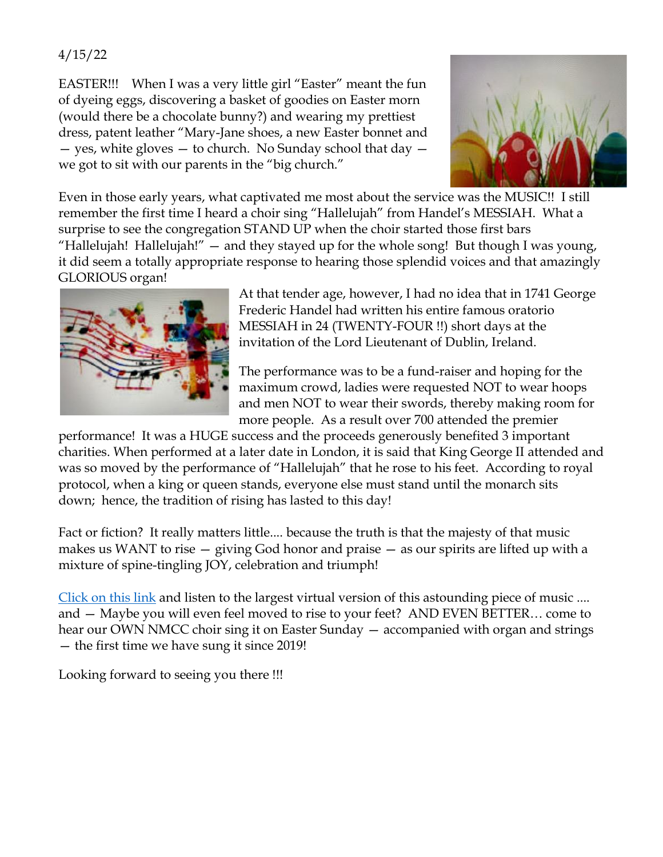## 4/15/22

EASTER!!! When I was a very little girl "Easter" meant the fun of dyeing eggs, discovering a basket of goodies on Easter morn (would there be a chocolate bunny?) and wearing my prettiest dress, patent leather "Mary-Jane shoes, a new Easter bonnet and — yes, white gloves — to church. No Sunday school that day we got to sit with our parents in the "big church."



Even in those early years, what captivated me most about the service was the MUSIC!! I still remember the first time I heard a choir sing "Hallelujah" from Handel's MESSIAH. What a surprise to see the congregation STAND UP when the choir started those first bars "Hallelujah! Hallelujah!" — and they stayed up for the whole song! But though I was young, it did seem a totally appropriate response to hearing those splendid voices and that amazingly GLORIOUS organ!



At that tender age, however, I had no idea that in 1741 George Frederic Handel had written his entire famous oratorio MESSIAH in 24 (TWENTY-FOUR !!) short days at the invitation of the Lord Lieutenant of Dublin, Ireland.

The performance was to be a fund-raiser and hoping for the maximum crowd, ladies were requested NOT to wear hoops and men NOT to wear their swords, thereby making room for more people. As a result over 700 attended the premier

performance! It was a HUGE success and the proceeds generously benefited 3 important charities. When performed at a later date in London, it is said that King George II attended and was so moved by the performance of "Hallelujah" that he rose to his feet. According to royal protocol, when a king or queen stands, everyone else must stand until the monarch sits down; hence, the tradition of rising has lasted to this day!

Fact or fiction? It really matters little.... because the truth is that the majesty of that music makes us WANT to rise — giving God honor and praise — as our spirits are lifted up with a mixture of spine-tingling JOY, celebration and triumph!

[Click on this link](https://www.youtube.com/watch?v=akb0kD7EHIk) and listen to the largest virtual version of this astounding piece of music .... and — Maybe you will even feel moved to rise to your feet? AND EVEN BETTER… come to hear our OWN NMCC choir sing it on Easter Sunday — accompanied with organ and strings — the first time we have sung it since 2019!

Looking forward to seeing you there !!!